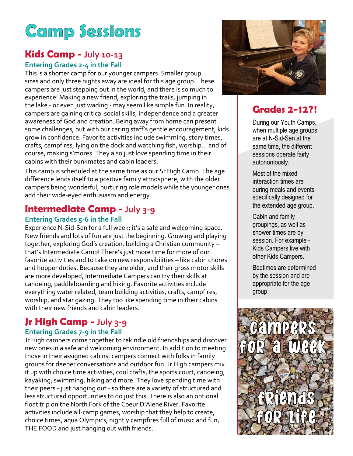# **Camp Sessions**

### **Kids Camp - July 10-13 Entering Grades 2-4 in the Fall**

This is a shorter camp for our younger campers. Smaller group sizes and only three nights away are ideal for this age group. These campers are just stepping out in the world, and there is so much to experience! Making a new friend, exploring the trails, jumping in the lake - or even just wading - may seem like simple fun. In reality, campers are gaining critical social skills, independence and a greater awareness of God and creation. Being away from home can present some challenges, but with our caring staff's gentle encouragement, kids grow in confidence. Favorite activities include swimming, story times, crafts, campfires, lying on the dock and watching fish, worship… and of course, making s'mores. They also just love spending time in their cabins with their bunkmates and cabin leaders.

This camp is scheduled at the same time as our Sr High Camp. The age difference lends itself to a positive family atmosphere, with the older campers being wonderful, nurturing role models while the younger ones add their wide-eyed enthusiasm and energy.

### **Intermediate Camp - July 3-9**

#### **Entering Grades 5-6 in the Fall**

Experience N-Sid-Sen for a full week; it's a safe and welcoming space. New friends and lots of fun are just the beginning. Growing and playing together, exploring God's creation, building a Christian community – that's Intermediate Camp! There's just more time for more of our favorite activities and to take on new responsibilities – like cabin chores and hopper duties. Because they are older, and their gross motor skills are more developed, Intermediate Campers can try their skills at canoeing, paddleboarding and hiking. Favorite activities include everything water related, team building activities, crafts, campfires, worship, and star gazing. They too like spending time in their cabins with their new friends and cabin leaders.

## **Jr High Camp - July 3-9**

#### **Entering Grades 7-9 in the Fall**

Jr High campers come together to rekindle old friendships and discover new ones in a safe and welcoming environment. In addition to meeting those in their assigned cabins, campers connect with folks in family groups for deeper conversations and outdoor fun. Jr High campers mix it up with choice time activities, cool crafts, the sports court, canoeing, kayaking, swimming, hiking and more. They love spending time with their peers - just hanging out - so there are a variety of structured and less structured opportunities to do just this. There is also an optional float trip on the North Fork of the Coeur D'Alene River. Favorite activities include all-camp games, worship that they help to create, choice times, aqua Olympics, nightly campfires full of music and fun, THE FOOD and just hanging out with friends.



### **Grades 2-12?!**

During our Youth Camps, when multiple age groups are at N-Sid-Sen at the same time, the different sessions operate fairly autonomously.

Most of the mixed interaction times are during meals and events specifically designed for the extended age group.

Cabin and family groupings, as well as shower times are by session. For example - Kids Campers live with other Kids Campers.

Bedtimes are determined by the session and are appropriate for the age group.